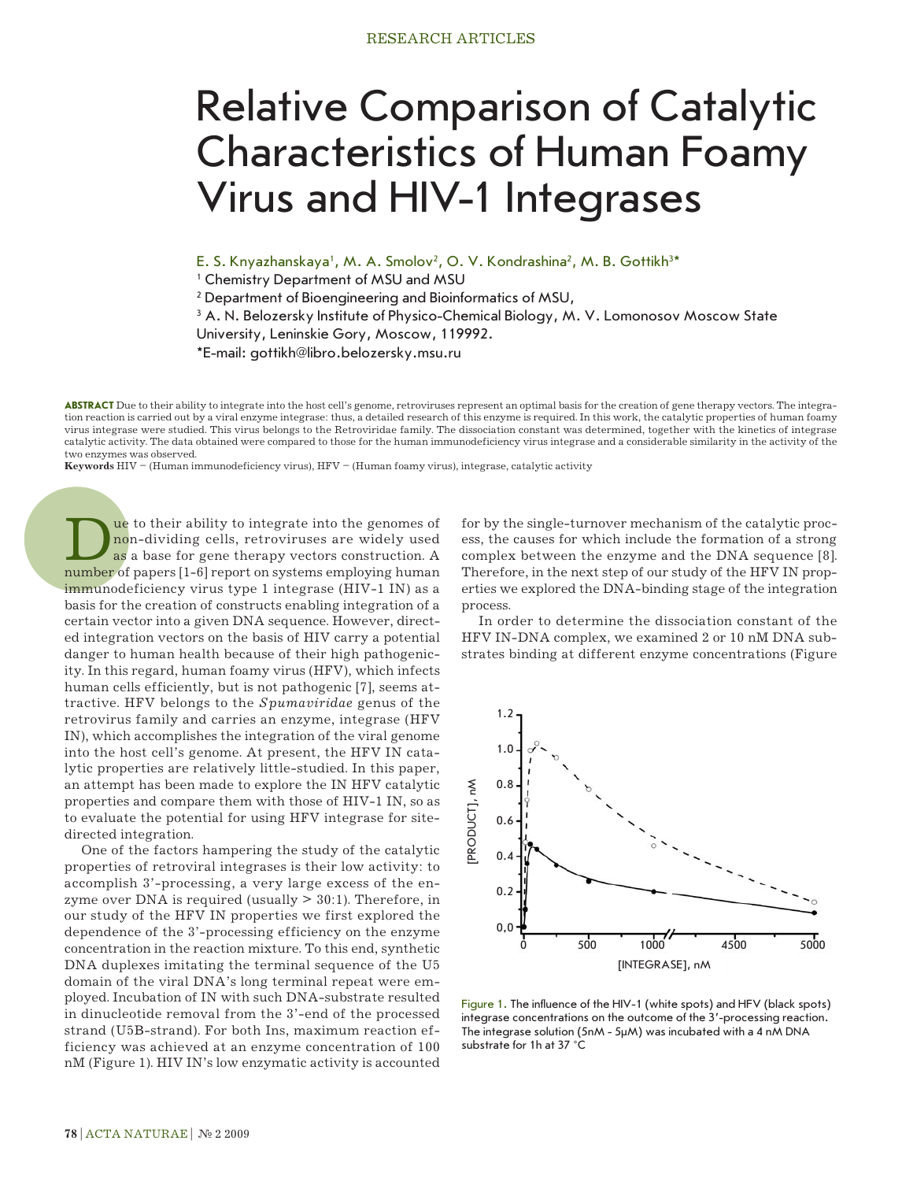## Relative Comparison of Catalytic Characteristics of Human Foamy Virus and HIV-1 Integrases

E. S. Knyazhanskaya<sup>1</sup>, M. A. Smolov<sup>2</sup>, O. V. Kondrashina<sup>2</sup>, M. B. Gottikh<sup>3\*</sup>

1 Chemistry Department of MSU and MSU

2 Department of Bioengineering and Bioinformatics of MSU,

 $^3$  A. N. Belozersky Institute of Physico-Chemical Biology, M. V. Lomonosov Moscow State

University, Leninskie Gory, Moscow, 119992.

\*E-mail: gottikh@libro.belozersky.msu.ru

**Abstract** Due to their ability to integrate into the host cell's genome, retroviruses represent an optimal basis for the creation of gene therapy vectors. The integration reaction is carried out by a viral enzyme integrase: thus, a detailed research of this enzyme is required. In this work, the catalytic properties of human foamy virus integrase were studied. This virus belongs to the Retroviridae family. The dissociation constant was determined, together with the kinetics of integrase catalytic activity. The data obtained were compared to those for the human immunodeficiency virus integrase and a considerable similarity in the activity of the two enzymes was observed.

**Keywords** HIV – (Human immunodeficiency virus), HFV – (Human foamy virus), integrase, catalytic activity

Due to their ability to integrate into the genomes of<br>as a base for gene therapy vectors construction. A<br>number of papers [1-6] report on systems employing human non-dividing cells, retroviruses are widely used as a base for gene therapy vectors construction. A number of papers [1-6] report on systems employing human immunodeficiency virus type 1 integrase (HIV-1 IN) as a basis for the creation of constructs enabling integration of a certain vector into a given DNA sequence. However, directed integration vectors on the basis of HIV carry a potential danger to human health because of their high pathogenicity. In this regard, human foamy virus (HFV), which infects human cells efficiently, but is not pathogenic [7], seems attractive. HFV belongs to the *Spumaviridae* genus of the retrovirus family and carries an enzyme, integrase (HFV IN), which accomplishes the integration of the viral genome into the host cell's genome. At present, the HFV IN catalytic properties are relatively little-studied. In this paper, an attempt has been made to explore the IN HFV catalytic properties and compare them with those of HIV-1 IN, so as to evaluate the potential for using HFV integrase for sitedirected integration.

One of the factors hampering the study of the catalytic properties of retroviral integrases is their low activity: to accomplish 3'-processing, a very large excess of the enzyme over DNA is required (usually  $>$  30:1). Therefore, in our study of the HFV IN properties we first explored the dependence of the 3'-processing efficiency on the enzyme concentration in the reaction mixture. To this end, synthetic DNA duplexes imitating the terminal sequence of the U5 domain of the viral DNA's long terminal repeat were employed. Incubation of IN with such DNA-substrate resulted in dinucleotide removal from the 3'-end of the processed strand (U5B-strand). For both Ins, maximum reaction efficiency was achieved at an enzyme concentration of 100 nM (Figure 1). HIV IN's low enzymatic activity is accounted

for by the single-turnover mechanism of the catalytic process, the causes for which include the formation of a strong complex between the enzyme and the DNA sequence [8]. Therefore, in the next step of our study of the HFV IN properties we explored the DNA-binding stage of the integration process.

In order to determine the dissociation constant of the HFV IN-DNA complex, we examined 2 or 10 nM DNA substrates binding at different enzyme concentrations (Figure



Figure 1. The influence of the HIV-1 (white spots) and HFV (black spots) integrase concentrations on the outcome of the 3'-processing reaction. The integrase solution (5nM - 5µM) was incubated with a 4 nM DNA substrate for 1h at 37 °C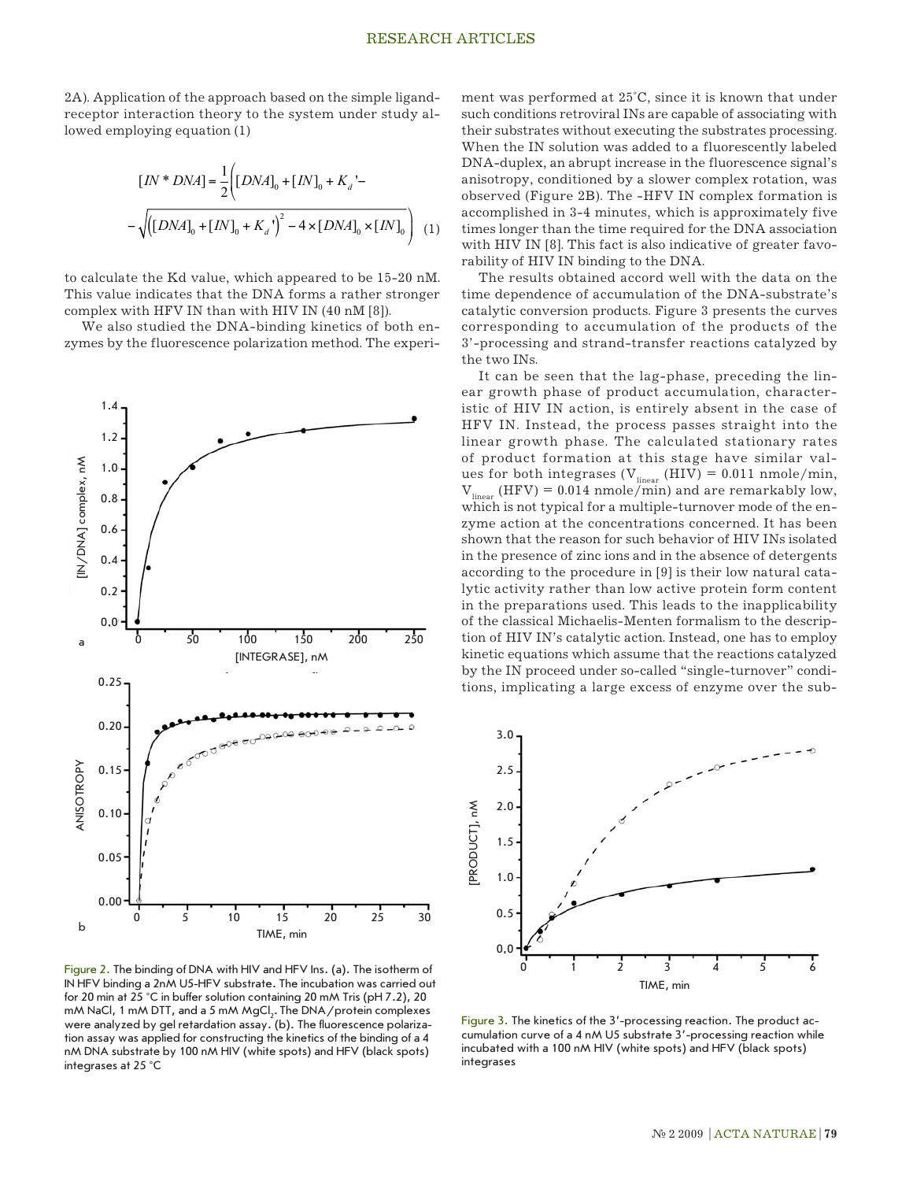2A). Application of the approach based on the simple ligandreceptor interaction theory to the system under study allowed employing equation (1)

$$
[IN * DNA] = \frac{1}{2} \Biggl( [DNA]_0 + [IN]_0 + K_a' - \text{anisot} \text{obser} \text{on} \text{Sov} \text{on} \text{Sov} \text{on} \text{Sov} \text{on} \text{Sov} \text{on} \text{Sov} \text{on} \text{Sov} \text{on} \text{Sov} \text{on} \text{Sov} \text{on} \text{Sov} \text{on} \text{Sov} \text{on} \text{Sov} \text{on} \text{Sov} \text{on} \text{Sov} \text{on} \text{Sov} \text{on} \text{Sov} \text{on} \text{Sov} \text{on} \text{Sov} \text{on} \text{Sov} \text{on} \text{Sov} \text{on} \text{Sov} \text{on} \text{Sov} \text{on} \text{Sov} \text{on} \text{Sov} \text{on} \text{Sov} \text{on} \text{Sov} \text{on} \text{Sov} \text{on} \text{Sov} \text{on} \text{Sov} \text{on} \text{Sov} \text{on} \text{Sov} \text{on} \text{Sov} \text{on} \text{Sov} \text{on} \text{Sov} \text{on} \text{Sov} \text{on} \text{Sov} \text{on} \text{Sov} \text{on} \text{Sov} \text{on} \text{Sov} \text{on} \text{Sov} \text{on} \text{Sov} \text{on} \text{Sov} \text{on} \text{Sov} \text{on} \text{Sov} \text{on} \text{Sov} \text{on} \text{Sov} \text{on} \text{Sov} \text{on} \text{Sov} \text{on} \text{Sov} \text{on} \text{Sov} \text{on} \text{Sov} \text{on} \text{Sov} \text{on} \text{Sov} \text{on} \text{Sov} \text{on} \text{Sov} \text{on} \text{Sov} \text{on} \text{Sov} \text{on} \text{Sov} \text{on} \text{Sov} \text{on} \text{Sov} \text{on} \text{Sov} \text{on} \text{Sov} \text{on} \text{Sov} \text{on} \text{Sov} \text{on} \text{Sov} \text{on} \text{S
$$

to calculate the Kd value, which appeared to be 15-20 nM. This value indicates that the DNA forms a rather stronger complex with HFV IN than with HIV IN (40 nM [8]).

We also studied the DNA-binding kinetics of both enzymes by the fluorescence polarization method. The experi-



Figure 2. The binding of DNA with HIV and HFV Ins. (a). The isotherm of IN HFV binding a 2nM U5-HFV substrate. The incubation was carried out for 20 min at 25 °C in buffer solution containing 20 mM Tris (pH 7.2), 20 mM NaCl, 1 mM DTT, and a 5 mM MgCl<sub>2</sub>. The DNA / protein complexes were analyzed by gel retardation assay. (b). The fluorescence polarization assay was applied for constructing the kinetics of the binding of a 4 nM DNA substrate by 100 nM HIV (white spots) and HFV (black spots) integrases at 25 °C

 $\frac{1}{2}$  $\left[\left[DMA\right]_0 + \left[M\right]_0 + K_a\right]$  anisotropy, conditioned by a slower complex rotation, was<br>observed (Figure 2B). The -HFV IN complex formation is  $\left[\left[DMA\right]_0 + \left[M\right]_0 + K_d\right]$  anisotropy, conditioned by a slower complex rotation, was ment was performed at 25°C, since it is known that under such conditions retroviral INs are capable of associating with their substrates without executing the substrates processing. When the IN solution was added to a fluorescently labeled DNA-duplex, an abrupt increase in the fluorescence signal's accomplished in 3-4 minutes, which is approximately five times longer than the time required for the DNA association with HIV IN [8]. This fact is also indicative of greater favorability of HIV IN binding to the DNA.

> The results obtained accord well with the data on the time dependence of accumulation of the DNA-substrate's catalytic conversion products. Figure 3 presents the curves corresponding to accumulation of the products of the 3'-processing and strand-transfer reactions catalyzed by the two INs.

> It can be seen that the lag-phase, preceding the linear growth phase of product accumulation, characteristic of HIV IN action, is entirely absent in the case of HFV IN. Instead, the process passes straight into the linear growth phase. The calculated stationary rates of product formation at this stage have similar values for both integrases ( $V_{linear}$  (HIV) = 0.011 nmole/min,  $V_{linear}$  (HFV) = 0.014 nmole/min) and are remarkably low, which is not typical for a multiple-turnover mode of the enzyme action at the concentrations concerned. It has been shown that the reason for such behavior of HIV INs isolated in the presence of zinc ions and in the absence of detergents according to the procedure in [9] is their low natural catalytic activity rather than low active protein form content in the preparations used. This leads to the inapplicability of the classical Michaelis-Menten formalism to the description of HIV IN's catalytic action. Instead, one has to employ kinetic equations which assume that the reactions catalyzed by the IN proceed under so-called "single-turnover" conditions, implicating a large excess of enzyme over the sub-



Figure 3. The kinetics of the 3'-processing reaction. The product accumulation curve of a 4 nM U5 substrate 3'-processing reaction while incubated with a 100 nM HIV (white spots) and HFV (black spots) integrases